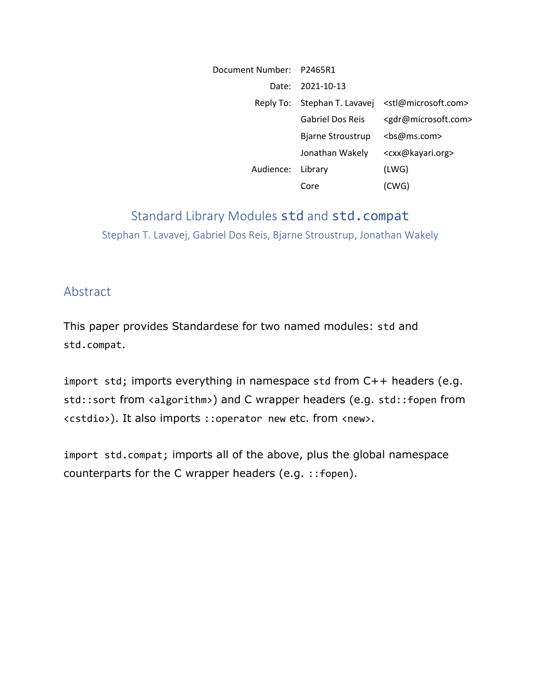| Document Number: P2465R1 |                              |                                         |
|--------------------------|------------------------------|-----------------------------------------|
|                          | Date: 2021-10-13             |                                         |
|                          | Reply To: Stephan T. Lavavej | <stl@microsoft.com></stl@microsoft.com> |
|                          | <b>Gabriel Dos Reis</b>      | <gdr@microsoft.com></gdr@microsoft.com> |
|                          | Bjarne Stroustrup            | <bs@ms.com></bs@ms.com>                 |
|                          | Jonathan Wakely              | <cxx@kayari.org></cxx@kayari.org>       |
| Audience:                | Library                      | (LWG)                                   |
|                          | Core                         | (CWG)                                   |

# Standard Library Modules std and std.compat Stephan T. Lavavej, Gabriel Dos Reis, Bjarne Stroustrup, Jonathan Wakely

### Abstract

This paper provides Standardese for two named modules: std and std.compat.

import std; imports everything in namespace std from C++ headers (e.g. std::sort from <algorithm>) and C wrapper headers (e.g. std::fopen from <cstdio>). It also imports ::operator new etc. from <new>.

import std.compat; imports all of the above, plus the global namespace counterparts for the C wrapper headers (e.g. ::fopen).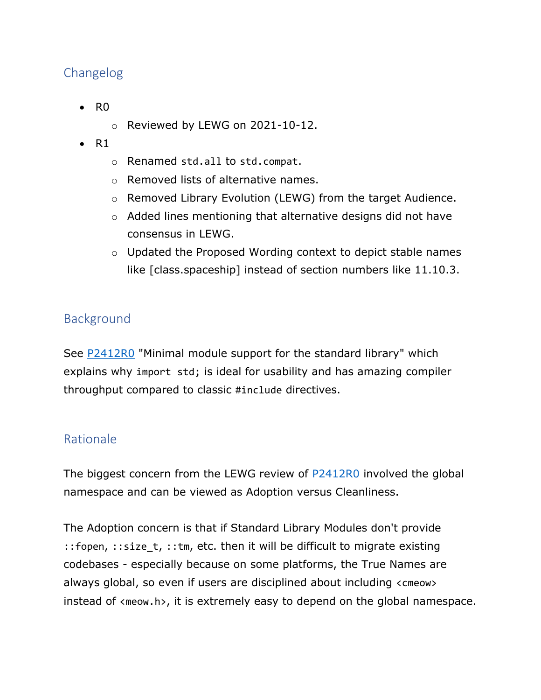## Changelog

- R0
	- o Reviewed by LEWG on 2021-10-12.
- $\bullet$  R1
	- o Renamed std.all to std.compat.
	- o Removed lists of alternative names.
	- $\circ$  Removed Library Evolution (LEWG) from the target Audience.
	- o Added lines mentioning that alternative designs did not have consensus in LEWG.
	- o Updated the Proposed Wording context to depict stable names like [class.spaceship] instead of section numbers like 11.10.3.

## Background

See [P2412R0](https://wg21.link/P2412R0) "Minimal module support for the standard library" which explains why import std; is ideal for usability and has amazing compiler throughput compared to classic #include directives.

## Rationale

The biggest concern from the LEWG review of **P2412R0** involved the global namespace and can be viewed as Adoption versus Cleanliness.

The Adoption concern is that if Standard Library Modules don't provide :: fopen, :: size  $t$ , :: tm, etc. then it will be difficult to migrate existing codebases - especially because on some platforms, the True Names are always global, so even if users are disciplined about including <cmeow> instead of <meow.h>, it is extremely easy to depend on the global namespace.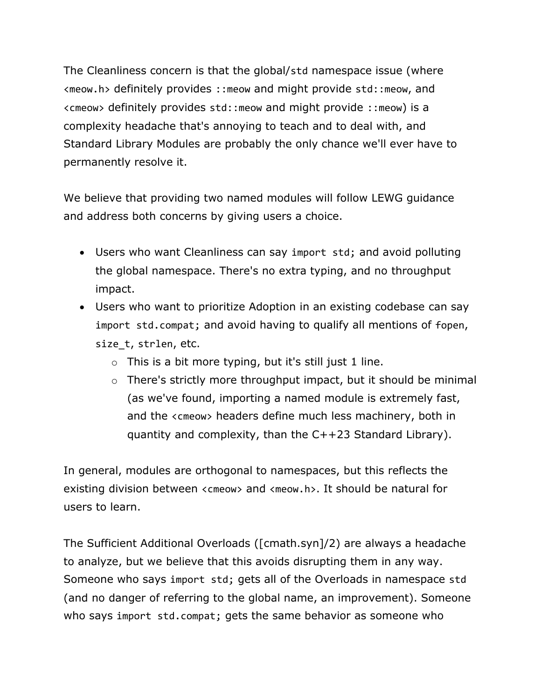The Cleanliness concern is that the global/std namespace issue (where <meow.h> definitely provides ::meow and might provide std::meow, and <cmeow> definitely provides std::meow and might provide ::meow) is a complexity headache that's annoying to teach and to deal with, and Standard Library Modules are probably the only chance we'll ever have to permanently resolve it.

We believe that providing two named modules will follow LEWG guidance and address both concerns by giving users a choice.

- Users who want Cleanliness can say import std; and avoid polluting the global namespace. There's no extra typing, and no throughput impact.
- Users who want to prioritize Adoption in an existing codebase can say import std.compat; and avoid having to qualify all mentions of fopen, size\_t, strlen, etc.
	- $\circ$  This is a bit more typing, but it's still just 1 line.
	- o There's strictly more throughput impact, but it should be minimal (as we've found, importing a named module is extremely fast, and the <cmeow> headers define much less machinery, both in quantity and complexity, than the C++23 Standard Library).

In general, modules are orthogonal to namespaces, but this reflects the existing division between <cmeow> and <meow.h>. It should be natural for users to learn.

The Sufficient Additional Overloads ([cmath.syn]/2) are always a headache to analyze, but we believe that this avoids disrupting them in any way. Someone who says import std; gets all of the Overloads in namespace std (and no danger of referring to the global name, an improvement). Someone who says import std.compat; gets the same behavior as someone who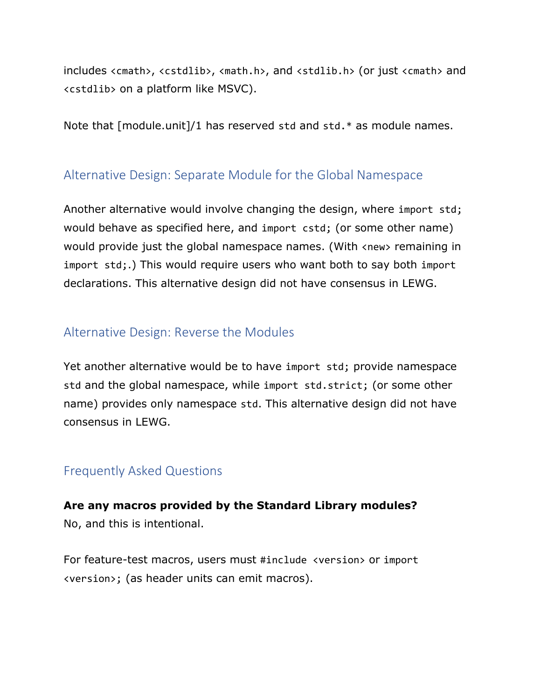includes <cmath>, <cstdlib>, <math.h>, and <stdlib.h> (or just <cmath> and <cstdlib> on a platform like MSVC).

Note that [module.unit]/1 has reserved std and std.\* as module names.

## Alternative Design: Separate Module for the Global Namespace

Another alternative would involve changing the design, where import std; would behave as specified here, and import cstd; (or some other name) would provide just the global namespace names. (With <new> remaining in import std;.) This would require users who want both to say both import declarations. This alternative design did not have consensus in LEWG.

### Alternative Design: Reverse the Modules

Yet another alternative would be to have import std; provide namespace std and the global namespace, while import std.strict; (or some other name) provides only namespace std. This alternative design did not have consensus in LEWG.

### Frequently Asked Questions

## **Are any macros provided by the Standard Library modules?** No, and this is intentional.

For feature-test macros, users must #include <version> or import <version>; (as header units can emit macros).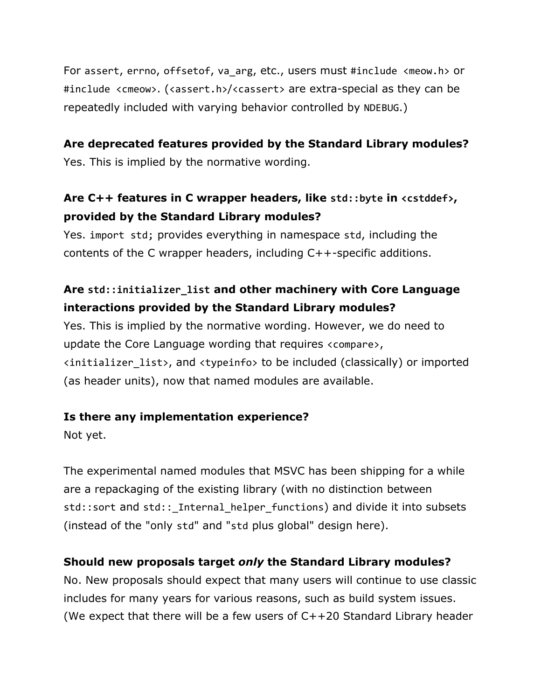For assert, errno, offsetof, va arg, etc., users must #include <meow.h> or #include <cmeow>. (<assert.h>/<cassert> are extra-special as they can be repeatedly included with varying behavior controlled by NDEBUG.)

#### **Are deprecated features provided by the Standard Library modules?**

Yes. This is implied by the normative wording.

## **Are C++ features in C wrapper headers, like std::byte in <cstddef>, provided by the Standard Library modules?**

Yes. import std; provides everything in namespace std, including the contents of the C wrapper headers, including C++-specific additions.

## **Are std::initializer\_list and other machinery with Core Language interactions provided by the Standard Library modules?**

Yes. This is implied by the normative wording. However, we do need to update the Core Language wording that requires <compare>, <initializer\_list>, and <typeinfo> to be included (classically) or imported (as header units), now that named modules are available.

### **Is there any implementation experience?**

Not yet.

The experimental named modules that MSVC has been shipping for a while are a repackaging of the existing library (with no distinction between std::sort and std:: Internal helper functions) and divide it into subsets (instead of the "only std" and "std plus global" design here).

### **Should new proposals target** *only* **the Standard Library modules?**

No. New proposals should expect that many users will continue to use classic includes for many years for various reasons, such as build system issues. (We expect that there will be a few users of  $C++20$  Standard Library header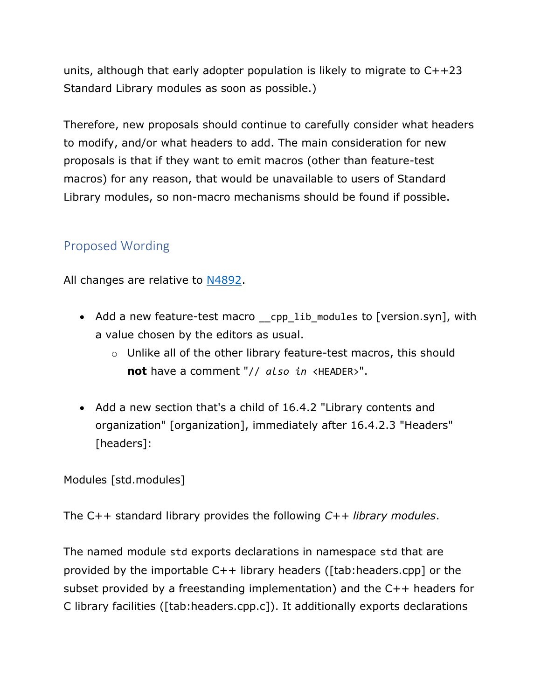units, although that early adopter population is likely to migrate to C++23 Standard Library modules as soon as possible.)

Therefore, new proposals should continue to carefully consider what headers to modify, and/or what headers to add. The main consideration for new proposals is that if they want to emit macros (other than feature-test macros) for any reason, that would be unavailable to users of Standard Library modules, so non-macro mechanisms should be found if possible.

## Proposed Wording

All changes are relative to [N4892.](https://wg21.link/N4892)

- Add a new feature-test macro cpp lib modules to [version.syn], with a value chosen by the editors as usual.
	- o Unlike all of the other library feature-test macros, this should **not** have a comment "// *also in* <HEADER>".
- Add a new section that's a child of 16.4.2 "Library contents and organization" [organization], immediately after 16.4.2.3 "Headers" [headers]:

Modules [std.modules]

The C++ standard library provides the following *C++ library modules*.

The named module std exports declarations in namespace std that are provided by the importable C++ library headers ([tab:headers.cpp] or the subset provided by a freestanding implementation) and the C++ headers for C library facilities ([tab:headers.cpp.c]). It additionally exports declarations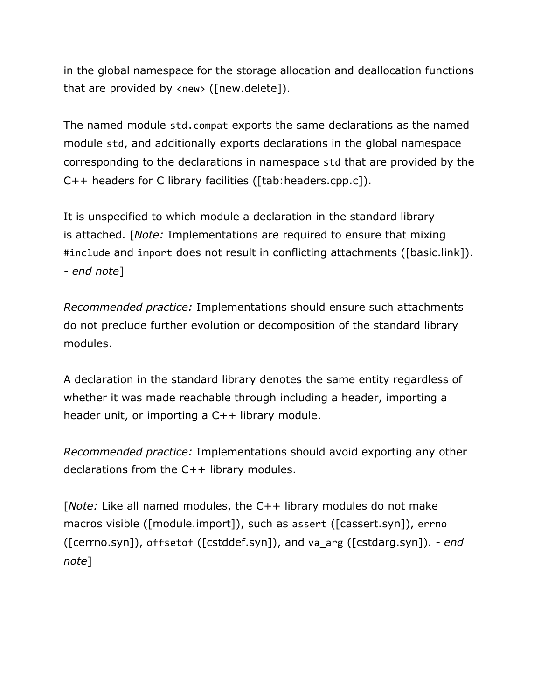in the global namespace for the storage allocation and deallocation functions that are provided by <new> ([new.delete]).

The named module std.compat exports the same declarations as the named module std, and additionally exports declarations in the global namespace corresponding to the declarations in namespace std that are provided by the C++ headers for C library facilities ([tab:headers.cpp.c]).

It is unspecified to which module a declaration in the standard library is attached. [*Note:* Implementations are required to ensure that mixing #include and import does not result in conflicting attachments ([basic.link]). *- end note*]

*Recommended practice:* Implementations should ensure such attachments do not preclude further evolution or decomposition of the standard library modules.

A declaration in the standard library denotes the same entity regardless of whether it was made reachable through including a header, importing a header unit, or importing a C++ library module.

*Recommended practice:* Implementations should avoid exporting any other declarations from the C++ library modules.

[*Note:* Like all named modules, the C++ library modules do not make macros visible ([module.import]), such as assert ([cassert.syn]), errno ([cerrno.syn]), offsetof ([cstddef.syn]), and va\_arg ([cstdarg.syn]). *- end note*]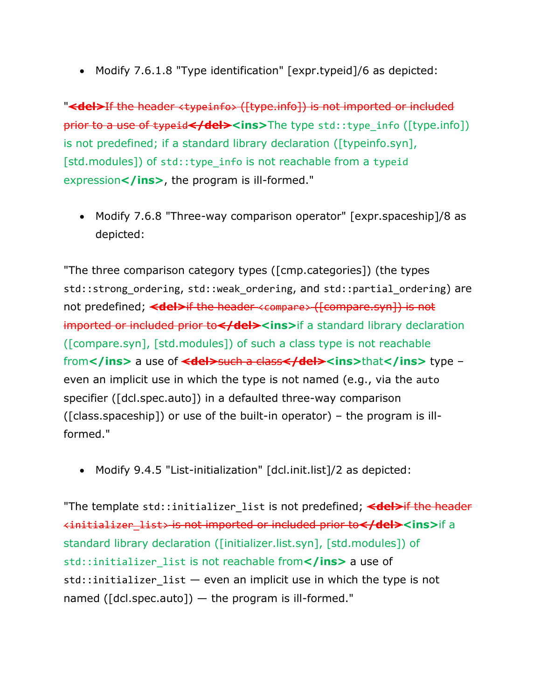• Modify 7.6.1.8 "Type identification" [expr.typeid]/6 as depicted:

"**<del>**If the header <typeinfo> ([type.info]) is not imported or included prior to a use of typeid**</del><ins>**The type std::type\_info ([type.info]) is not predefined; if a standard library declaration ([typeinfo.syn], [std.modules]) of std::type info is not reachable from a typeid expression</ins>, the program is ill-formed."

• Modify 7.6.8 "Three-way comparison operator" [expr.spaceship]/8 as depicted:

"The three comparison category types ([cmp.categories]) (the types std::strong ordering, std::weak ordering, and std::partial ordering) are not predefined; <del>if the header <compare> ([compare.syn]) is not imported or included prior to</ad><ins>if a standard library declaration ([compare.syn], [std.modules]) of such a class type is not reachable from</ins> a use of <del>such a class</del><ins>that</ins> type even an implicit use in which the type is not named (e.g., via the auto specifier ([dcl.spec.auto]) in a defaulted three-way comparison  $([class.spaceship])$  or use of the built-in operator) – the program is illformed."

• Modify 9.4.5 "List-initialization" [dcl.init.list]/2 as depicted:

"The template std::initializer list is not predefined; <del>if the header</del>  $\leftarrow$ initializer list> is not imported or included prior to</del><ins>if a standard library declaration ([initializer.list.syn], [std.modules]) of std::initializer\_list is not reachable from**</ins>** a use of  $std::initializer$  list  $-$  even an implicit use in which the type is not named ( $[dc].spec.auto]$ ) — the program is ill-formed."